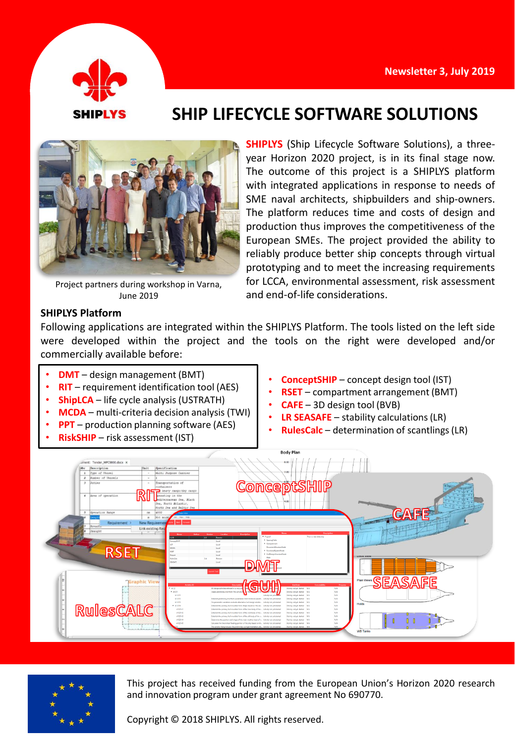

# **SHIP LIFECYCLE SOFTWARE SOLUTIONS**



Project partners during workshop in Varna, June 2019

**SHIPLYS** (Ship Lifecycle Software Solutions), a threeyear Horizon 2020 project, is in its final stage now. The outcome of this project is a SHIPLYS platform with integrated applications in response to needs of SME naval architects, shipbuilders and ship-owners. The platform reduces time and costs of design and production thus improves the competitiveness of the European SMEs. The project provided the ability to reliably produce better ship concepts through virtual prototyping and to meet the increasing requirements for LCCA, environmental assessment, risk assessment and end-of-life considerations.

### **SHIPLYS Platform**

Following applications are integrated within the SHIPLYS Platform. The tools listed on the left side were developed within the project and the tools on the right were developed and/or commercially available before:

- **DMT** design management (BMT)
- **RIT** requirement identification tool (AES)
- **ShipLCA** life cycle analysis (USTRATH)
- **MCDA** multi-criteria decision analysis (TWI)
- **PPT** production planning software (AES)
- **RiskSHIP** risk assessment (IST)
- **ConceptSHIP** concept design tool (IST)
- **RSET** compartment arrangement (BMT)
- **CAFE** 3D design tool (BVB)
- **LR SEASAFE** stability calculations(LR)
- **RulesCalc** determination of scantlings(LR)





This project has received funding from the European Union's Horizon 2020 research and innovation program under grant agreement No 690770.

Copyright © 2018 SHIPLYS. All rights reserved.